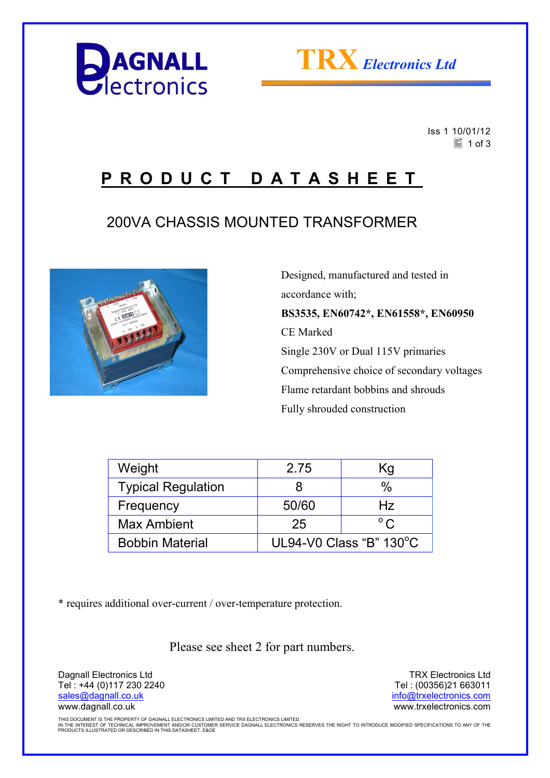



 Iss 1 10/01/12  $\equiv$  1 of 3

## **P R O D U C T D A T A S H E E T**

## 200VA CHASSIS MOUNTED TRANSFORMER



 Designed, manufactured and tested in accordance with; **BS3535, EN60742\*, EN61558\*, EN60950**  CE Marked Single 230V or Dual 115V primaries Comprehensive choice of secondary voltages Flame retardant bobbins and shrouds Fully shrouded construction

| Weight                    | 2.75                    | Κg           |
|---------------------------|-------------------------|--------------|
| <b>Typical Regulation</b> | 8                       | $\%$         |
| Frequency                 | 50/60                   | Hz           |
| <b>Max Ambient</b>        | 25                      | $^{\circ}$ C |
| <b>Bobbin Material</b>    | UL94-V0 Class "B" 130°C |              |

\* requires additional over-current / over-temperature protection.

Please see sheet 2 for part numbers.

Dagnall Electronics Ltd Tel : +44 (0)117 230 2240 sales@dagnall.co.uk www.dagnall.co.uk

TRX Electronics Ltd Tel : (00356)21 663011 info@trxelectronics.com www.trxelectronics.com

THIS DOCUMENT IS THE PROPERTY OF DAGNALL ELECTRONICS LIMITED AND TRX ELECTRONICS LIMITED.<br>IN THE INTEREST OF TECHNICAL IMPROVEMENT AND/OR CUSTOMER SERVICE DAGNALL ELECTRONICS RESERVES THE RIGHT TO INTRODUCE MODIFIED SPECIF PRODUCTS ILLUSTRATED OR DESCRIBED IN THIS DATASHEET. E&OE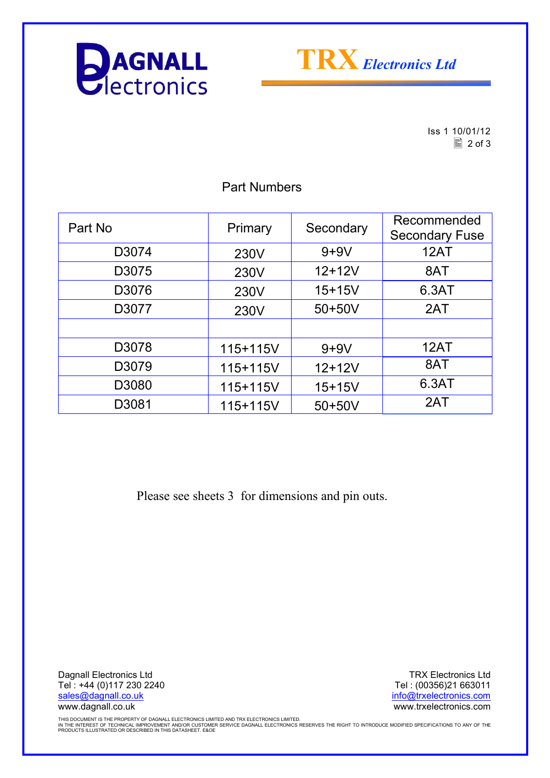



Iss 1 10/01/12  $\Box$  2 of 3

Part No Primary Secondary Recommended Secondary Fuse D3074 230V 9+9V 12AT D3075 | 230V | 12+12V | 8AT D3076 230V 15+15V 6.3AT D3077 | 230V | 50+50V | 2AT D3078 115+115V 9+9V 12AT D3079 115+115V 12+12V 8AT D3080 115+115V 15+15V 6.3AT D3081 115+115V 50+50V 2AT

Part Numbers

Please see sheets 3 for dimensions and pin outs.

Dagnall Electronics Ltd Tel : +44 (0)117 230 2240 sales@dagnall.co.uk www.dagnall.co.uk

TRX Electronics Ltd Tel : (00356)21 663011 info@trxelectronics.com www.trxelectronics.com

THIS DOCUMENT IS THE PROPERTY OF DAGNALL ELECTRONICS LIMITED AND TRX ELECTRONICS LIMITED.<br>IN THE INTEREST OF TECHNICAL IMPROVEMENT AND/OR CUSTOMER SERVICE DAGNALL ELECTRONICS RESERVES THE RIGHT TO INTRODUCE MODIFIED SPECIF PRODUCTS ILLUSTRATED OR DESCRIBED IN THIS DATASHEET. E&OE